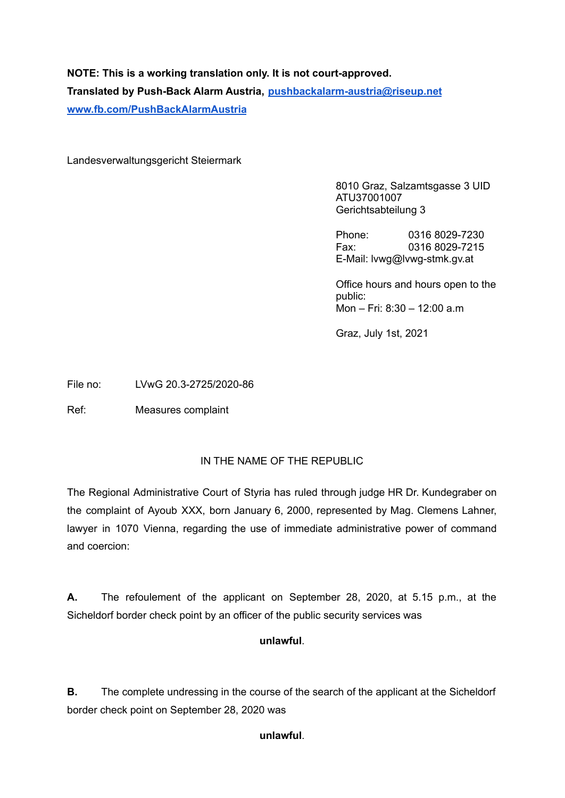# **NOTE: This is a working translation only. It is not court-approved. Translated by Push-Back Alarm Austria, [pushbackalarm-austria@riseup.net](mailto:pushbackalarm-austria@riseup.net) [www.fb.com/PushBackAlarmAustria](http://www.fb.com/PushBackAlarmAustria)**

Landesverwaltungsgericht Steiermark

8010 Graz, Salzamtsgasse 3 UID ATU37001007 Gerichtsabteilung 3

Phone: 0316 8029-7230 Fax: 0316 8029-7215 E-Mail: lvwg@lvwg-stmk.gv.at

Office hours and hours open to the public: Mon – Fri: 8:30 – 12:00 a.m

Graz, July 1st, 2021

File no: LVwG 20.3-2725/2020-86

Ref: Measures complaint

# IN THE NAME OF THE REPUBLIC

The Regional Administrative Court of Styria has ruled through judge HR Dr. Kundegraber on the complaint of Ayoub XXX, born January 6, 2000, represented by Mag. Clemens Lahner, lawyer in 1070 Vienna, regarding the use of immediate administrative power of command and coercion:

**A.** The refoulement of the applicant on September 28, 2020, at 5.15 p.m., at the Sicheldorf border check point by an officer of the public security services was

### **unlawful**.

**B.** The complete undressing in the course of the search of the applicant at the Sicheldorf border check point on September 28, 2020 was

### **unlawful**.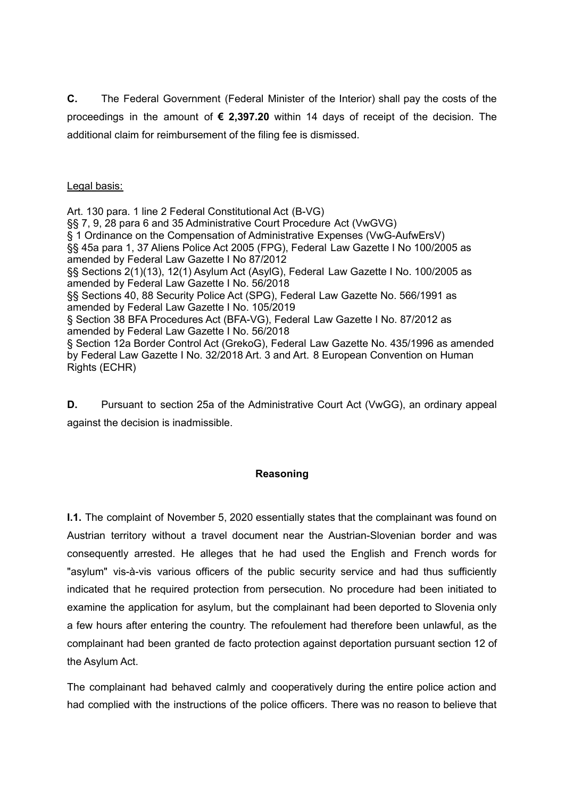**C.** The Federal Government (Federal Minister of the Interior) shall pay the costs of the proceedings in the amount of **€ 2,397.20** within 14 days of receipt of the decision. The additional claim for reimbursement of the filing fee is dismissed.

# Legal basis:

Art. 130 para. 1 line 2 Federal Constitutional Act (B-VG) §§ 7, 9, 28 para 6 and 35 Administrative Court Procedure Act (VwGVG) § 1 Ordinance on the Compensation of Administrative Expenses (VwG-AufwErsV) §§ 45a para 1, 37 Aliens Police Act 2005 (FPG), Federal Law Gazette I No 100/2005 as amended by Federal Law Gazette I No 87/2012 §§ Sections 2(1)(13), 12(1) Asylum Act (AsylG), Federal Law Gazette I No. 100/2005 as amended by Federal Law Gazette I No. 56/2018 §§ Sections 40, 88 Security Police Act (SPG), Federal Law Gazette No. 566/1991 as amended by Federal Law Gazette I No. 105/2019 § Section 38 BFA Procedures Act (BFA-VG), Federal Law Gazette I No. 87/2012 as amended by Federal Law Gazette I No. 56/2018 § Section 12a Border Control Act (GrekoG), Federal Law Gazette No. 435/1996 as amended by Federal Law Gazette I No. 32/2018 Art. 3 and Art. 8 European Convention on Human Rights (ECHR)

**D.** Pursuant to section 25a of the Administrative Court Act (VwGG), an ordinary appeal against the decision is inadmissible.

### **Reasoning**

**I.1.** The complaint of November 5, 2020 essentially states that the complainant was found on Austrian territory without a travel document near the Austrian-Slovenian border and was consequently arrested. He alleges that he had used the English and French words for "asylum" vis-à-vis various officers of the public security service and had thus sufficiently indicated that he required protection from persecution. No procedure had been initiated to examine the application for asylum, but the complainant had been deported to Slovenia only a few hours after entering the country. The refoulement had therefore been unlawful, as the complainant had been granted de facto protection against deportation pursuant section 12 of the Asylum Act.

The complainant had behaved calmly and cooperatively during the entire police action and had complied with the instructions of the police officers. There was no reason to believe that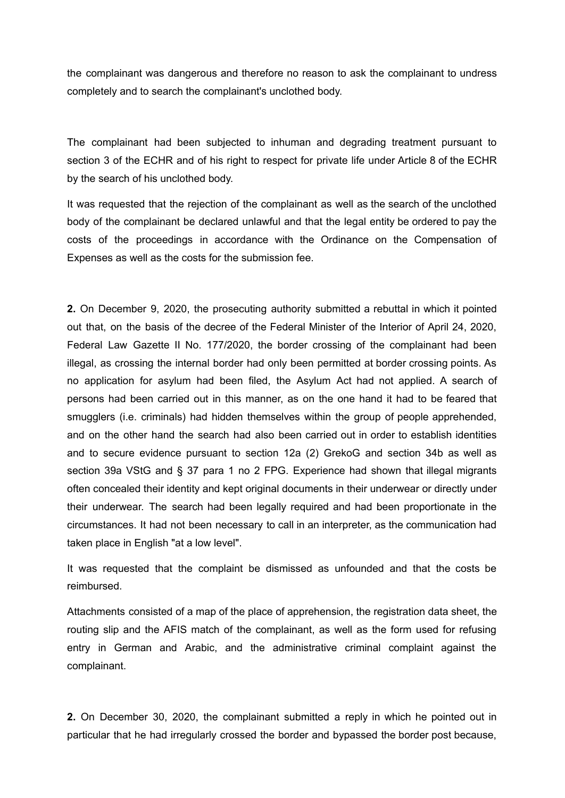the complainant was dangerous and therefore no reason to ask the complainant to undress completely and to search the complainant's unclothed body.

The complainant had been subjected to inhuman and degrading treatment pursuant to section 3 of the ECHR and of his right to respect for private life under Article 8 of the ECHR by the search of his unclothed body.

It was requested that the rejection of the complainant as well as the search of the unclothed body of the complainant be declared unlawful and that the legal entity be ordered to pay the costs of the proceedings in accordance with the Ordinance on the Compensation of Expenses as well as the costs for the submission fee.

**2.** On December 9, 2020, the prosecuting authority submitted a rebuttal in which it pointed out that, on the basis of the decree of the Federal Minister of the Interior of April 24, 2020, Federal Law Gazette II No. 177/2020, the border crossing of the complainant had been illegal, as crossing the internal border had only been permitted at border crossing points. As no application for asylum had been filed, the Asylum Act had not applied. A search of persons had been carried out in this manner, as on the one hand it had to be feared that smugglers (i.e. criminals) had hidden themselves within the group of people apprehended, and on the other hand the search had also been carried out in order to establish identities and to secure evidence pursuant to section 12a (2) GrekoG and section 34b as well as section 39a VStG and § 37 para 1 no 2 FPG. Experience had shown that illegal migrants often concealed their identity and kept original documents in their underwear or directly under their underwear. The search had been legally required and had been proportionate in the circumstances. It had not been necessary to call in an interpreter, as the communication had taken place in English "at a low level".

It was requested that the complaint be dismissed as unfounded and that the costs be reimbursed.

Attachments consisted of a map of the place of apprehension, the registration data sheet, the routing slip and the AFIS match of the complainant, as well as the form used for refusing entry in German and Arabic, and the administrative criminal complaint against the complainant.

**2.** On December 30, 2020, the complainant submitted a reply in which he pointed out in particular that he had irregularly crossed the border and bypassed the border post because,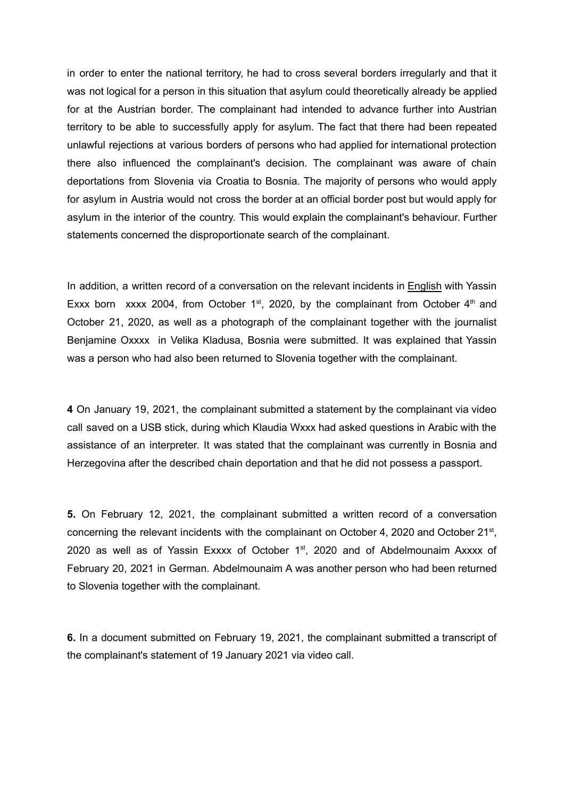in order to enter the national territory, he had to cross several borders irregularly and that it was not logical for a person in this situation that asylum could theoretically already be applied for at the Austrian border. The complainant had intended to advance further into Austrian territory to be able to successfully apply for asylum. The fact that there had been repeated unlawful rejections at various borders of persons who had applied for international protection there also influenced the complainant's decision. The complainant was aware of chain deportations from Slovenia via Croatia to Bosnia. The majority of persons who would apply for asylum in Austria would not cross the border at an official border post but would apply for asylum in the interior of the country. This would explain the complainant's behaviour. Further statements concerned the disproportionate search of the complainant.

In addition, a written record of a conversation on the relevant incidents in English with Yassin Exxx born xxxx 2004, from October  $1^{st}$ , 2020, by the complainant from October  $4^{th}$  and October 21, 2020, as well as a photograph of the complainant together with the journalist Benjamine Oxxxx in Velika Kladusa, Bosnia were submitted. It was explained that Yassin was a person who had also been returned to Slovenia together with the complainant.

**4** On January 19, 2021, the complainant submitted a statement by the complainant via video call saved on a USB stick, during which Klaudia Wxxx had asked questions in Arabic with the assistance of an interpreter. It was stated that the complainant was currently in Bosnia and Herzegovina after the described chain deportation and that he did not possess a passport.

**5.** On February 12, 2021, the complainant submitted a written record of a conversation concerning the relevant incidents with the complainant on October 4, 2020 and October  $21^{st}$ , 2020 as well as of Yassin Exxxx of October 1<sup>st</sup>, 2020 and of Abdelmounaim Axxxx of February 20, 2021 in German. Abdelmounaim A was another person who had been returned to Slovenia together with the complainant.

**6.** In a document submitted on February 19, 2021, the complainant submitted a transcript of the complainant's statement of 19 January 2021 via video call.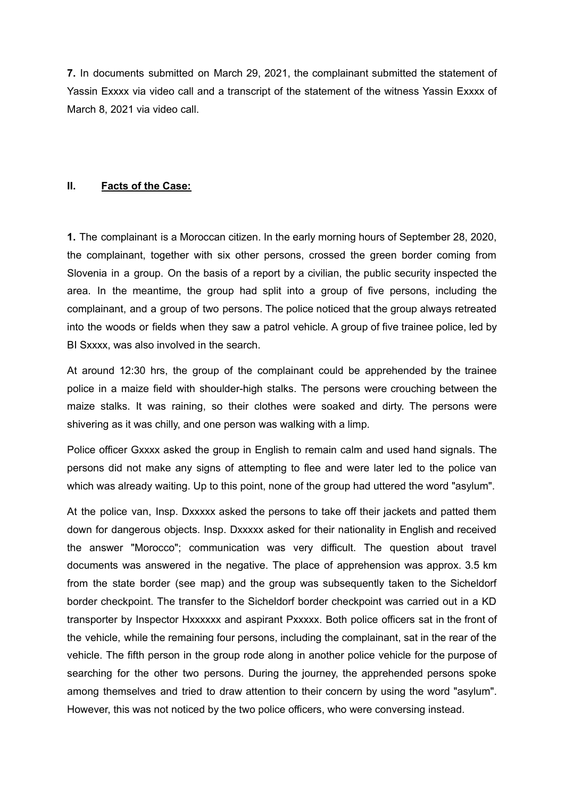**7.** In documents submitted on March 29, 2021, the complainant submitted the statement of Yassin Exxxx via video call and a transcript of the statement of the witness Yassin Exxxx of March 8, 2021 via video call.

# **II. Facts of the Case:**

**1.** The complainant is a Moroccan citizen. In the early morning hours of September 28, 2020, the complainant, together with six other persons, crossed the green border coming from Slovenia in a group. On the basis of a report by a civilian, the public security inspected the area. In the meantime, the group had split into a group of five persons, including the complainant, and a group of two persons. The police noticed that the group always retreated into the woods or fields when they saw a patrol vehicle. A group of five trainee police, led by BI Sxxxx, was also involved in the search.

At around 12:30 hrs, the group of the complainant could be apprehended by the trainee police in a maize field with shoulder-high stalks. The persons were crouching between the maize stalks. It was raining, so their clothes were soaked and dirty. The persons were shivering as it was chilly, and one person was walking with a limp.

Police officer Gxxxx asked the group in English to remain calm and used hand signals. The persons did not make any signs of attempting to flee and were later led to the police van which was already waiting. Up to this point, none of the group had uttered the word "asylum".

At the police van, Insp. Dxxxxx asked the persons to take off their jackets and patted them down for dangerous objects. Insp. Dxxxxx asked for their nationality in English and received the answer "Morocco"; communication was very difficult. The question about travel documents was answered in the negative. The place of apprehension was approx. 3.5 km from the state border (see map) and the group was subsequently taken to the Sicheldorf border checkpoint. The transfer to the Sicheldorf border checkpoint was carried out in a KD transporter by Inspector Hxxxxxx and aspirant Pxxxxx. Both police officers sat in the front of the vehicle, while the remaining four persons, including the complainant, sat in the rear of the vehicle. The fifth person in the group rode along in another police vehicle for the purpose of searching for the other two persons. During the journey, the apprehended persons spoke among themselves and tried to draw attention to their concern by using the word "asylum". However, this was not noticed by the two police officers, who were conversing instead.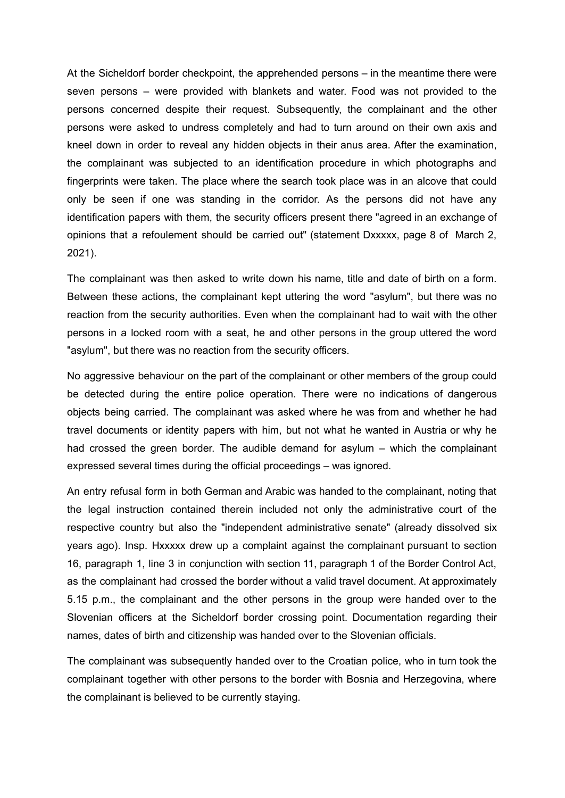At the Sicheldorf border checkpoint, the apprehended persons – in the meantime there were seven persons – were provided with blankets and water. Food was not provided to the persons concerned despite their request. Subsequently, the complainant and the other persons were asked to undress completely and had to turn around on their own axis and kneel down in order to reveal any hidden objects in their anus area. After the examination, the complainant was subjected to an identification procedure in which photographs and fingerprints were taken. The place where the search took place was in an alcove that could only be seen if one was standing in the corridor. As the persons did not have any identification papers with them, the security officers present there "agreed in an exchange of opinions that a refoulement should be carried out" (statement Dxxxxx, page 8 of March 2, 2021).

The complainant was then asked to write down his name, title and date of birth on a form. Between these actions, the complainant kept uttering the word "asylum", but there was no reaction from the security authorities. Even when the complainant had to wait with the other persons in a locked room with a seat, he and other persons in the group uttered the word "asylum", but there was no reaction from the security officers.

No aggressive behaviour on the part of the complainant or other members of the group could be detected during the entire police operation. There were no indications of dangerous objects being carried. The complainant was asked where he was from and whether he had travel documents or identity papers with him, but not what he wanted in Austria or why he had crossed the green border. The audible demand for asylum – which the complainant expressed several times during the official proceedings – was ignored.

An entry refusal form in both German and Arabic was handed to the complainant, noting that the legal instruction contained therein included not only the administrative court of the respective country but also the "independent administrative senate" (already dissolved six years ago). Insp. Hxxxxx drew up a complaint against the complainant pursuant to section 16, paragraph 1, line 3 in conjunction with section 11, paragraph 1 of the Border Control Act, as the complainant had crossed the border without a valid travel document. At approximately 5.15 p.m., the complainant and the other persons in the group were handed over to the Slovenian officers at the Sicheldorf border crossing point. Documentation regarding their names, dates of birth and citizenship was handed over to the Slovenian officials.

The complainant was subsequently handed over to the Croatian police, who in turn took the complainant together with other persons to the border with Bosnia and Herzegovina, where the complainant is believed to be currently staying.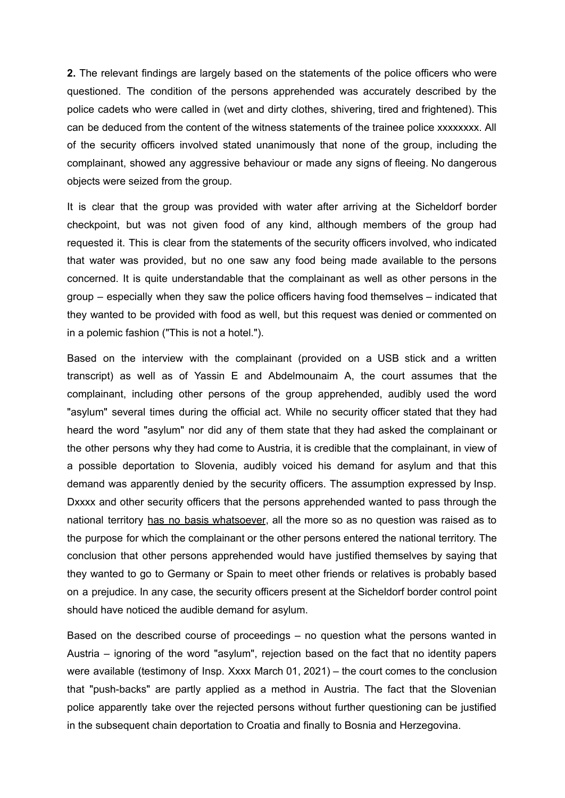**2.** The relevant findings are largely based on the statements of the police officers who were questioned. The condition of the persons apprehended was accurately described by the police cadets who were called in (wet and dirty clothes, shivering, tired and frightened). This can be deduced from the content of the witness statements of the trainee police xxxxxxxx. All of the security officers involved stated unanimously that none of the group, including the complainant, showed any aggressive behaviour or made any signs of fleeing. No dangerous objects were seized from the group.

It is clear that the group was provided with water after arriving at the Sicheldorf border checkpoint, but was not given food of any kind, although members of the group had requested it. This is clear from the statements of the security officers involved, who indicated that water was provided, but no one saw any food being made available to the persons concerned. It is quite understandable that the complainant as well as other persons in the group – especially when they saw the police officers having food themselves – indicated that they wanted to be provided with food as well, but this request was denied or commented on in a polemic fashion ("This is not a hotel.").

Based on the interview with the complainant (provided on a USB stick and a written transcript) as well as of Yassin E and Abdelmounaim A, the court assumes that the complainant, including other persons of the group apprehended, audibly used the word "asylum" several times during the official act. While no security officer stated that they had heard the word "asylum" nor did any of them state that they had asked the complainant or the other persons why they had come to Austria, it is credible that the complainant, in view of a possible deportation to Slovenia, audibly voiced his demand for asylum and that this demand was apparently denied by the security officers. The assumption expressed by Insp. Dxxxx and other security officers that the persons apprehended wanted to pass through the national territory has no basis whatsoever, all the more so as no question was raised as to the purpose for which the complainant or the other persons entered the national territory. The conclusion that other persons apprehended would have justified themselves by saying that they wanted to go to Germany or Spain to meet other friends or relatives is probably based on a prejudice. In any case, the security officers present at the Sicheldorf border control point should have noticed the audible demand for asylum.

Based on the described course of proceedings – no question what the persons wanted in Austria – ignoring of the word "asylum", rejection based on the fact that no identity papers were available (testimony of Insp. Xxxx March 01, 2021) – the court comes to the conclusion that "push-backs" are partly applied as a method in Austria. The fact that the Slovenian police apparently take over the rejected persons without further questioning can be justified in the subsequent chain deportation to Croatia and finally to Bosnia and Herzegovina.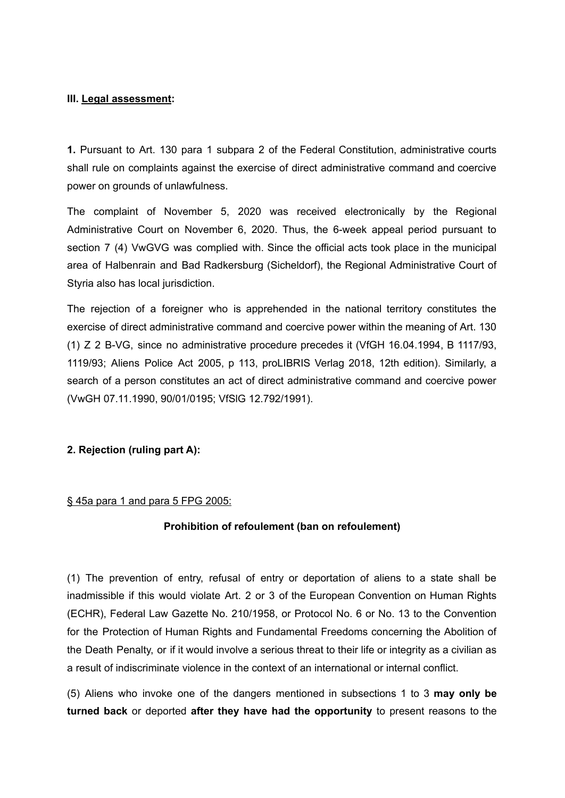#### **III. Legal assessment:**

**1.** Pursuant to Art. 130 para 1 subpara 2 of the Federal Constitution, administrative courts shall rule on complaints against the exercise of direct administrative command and coercive power on grounds of unlawfulness.

The complaint of November 5, 2020 was received electronically by the Regional Administrative Court on November 6, 2020. Thus, the 6-week appeal period pursuant to section 7 (4) VwGVG was complied with. Since the official acts took place in the municipal area of Halbenrain and Bad Radkersburg (Sicheldorf), the Regional Administrative Court of Styria also has local jurisdiction.

The rejection of a foreigner who is apprehended in the national territory constitutes the exercise of direct administrative command and coercive power within the meaning of Art. 130 (1) Z 2 B-VG, since no administrative procedure precedes it (VfGH 16.04.1994, B 1117/93, 1119/93; Aliens Police Act 2005, p 113, proLIBRIS Verlag 2018, 12th edition). Similarly, a search of a person constitutes an act of direct administrative command and coercive power (VwGH 07.11.1990, 90/01/0195; VfSlG 12.792/1991).

### **2. Rejection (ruling part A):**

#### § 45a para 1 and para 5 FPG 2005:

### **Prohibition of refoulement (ban on refoulement)**

(1) The prevention of entry, refusal of entry or deportation of aliens to a state shall be inadmissible if this would violate Art. 2 or 3 of the European Convention on Human Rights (ECHR), Federal Law Gazette No. 210/1958, or Protocol No. 6 or No. 13 to the Convention for the Protection of Human Rights and Fundamental Freedoms concerning the Abolition of the Death Penalty, or if it would involve a serious threat to their life or integrity as a civilian as a result of indiscriminate violence in the context of an international or internal conflict.

(5) Aliens who invoke one of the dangers mentioned in subsections 1 to 3 **may only be turned back** or deported **after they have had the opportunity** to present reasons to the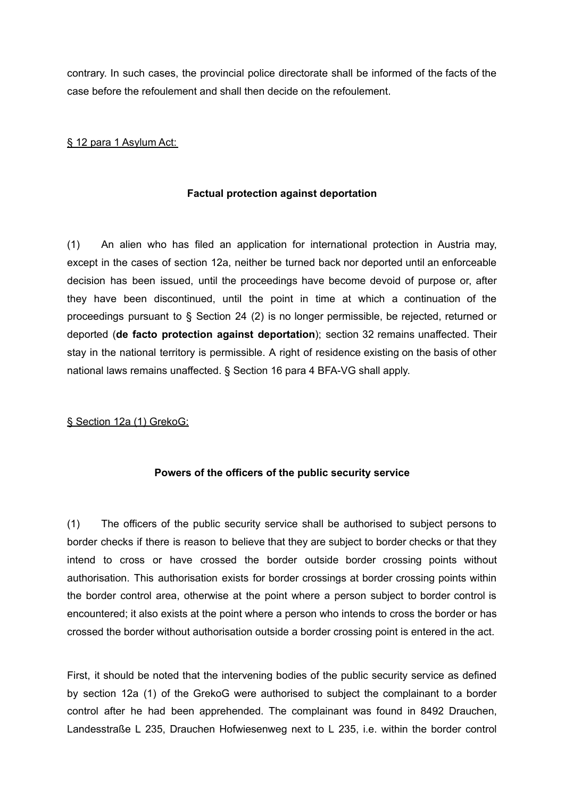contrary. In such cases, the provincial police directorate shall be informed of the facts of the case before the refoulement and shall then decide on the refoulement.

# § 12 para 1 Asylum Act:

# **Factual protection against deportation**

(1) An alien who has filed an application for international protection in Austria may, except in the cases of section 12a, neither be turned back nor deported until an enforceable decision has been issued, until the proceedings have become devoid of purpose or, after they have been discontinued, until the point in time at which a continuation of the proceedings pursuant to § Section 24 (2) is no longer permissible, be rejected, returned or deported (**de facto protection against deportation**); section 32 remains unaffected. Their stay in the national territory is permissible. A right of residence existing on the basis of other national laws remains unaffected. § Section 16 para 4 BFA-VG shall apply.

### § Section 12a (1) GrekoG:

### **Powers of the officers of the public security service**

(1) The officers of the public security service shall be authorised to subject persons to border checks if there is reason to believe that they are subject to border checks or that they intend to cross or have crossed the border outside border crossing points without authorisation. This authorisation exists for border crossings at border crossing points within the border control area, otherwise at the point where a person subject to border control is encountered; it also exists at the point where a person who intends to cross the border or has crossed the border without authorisation outside a border crossing point is entered in the act.

First, it should be noted that the intervening bodies of the public security service as defined by section 12a (1) of the GrekoG were authorised to subject the complainant to a border control after he had been apprehended. The complainant was found in 8492 Drauchen, Landesstraße L 235, Drauchen Hofwiesenweg next to L 235, i.e. within the border control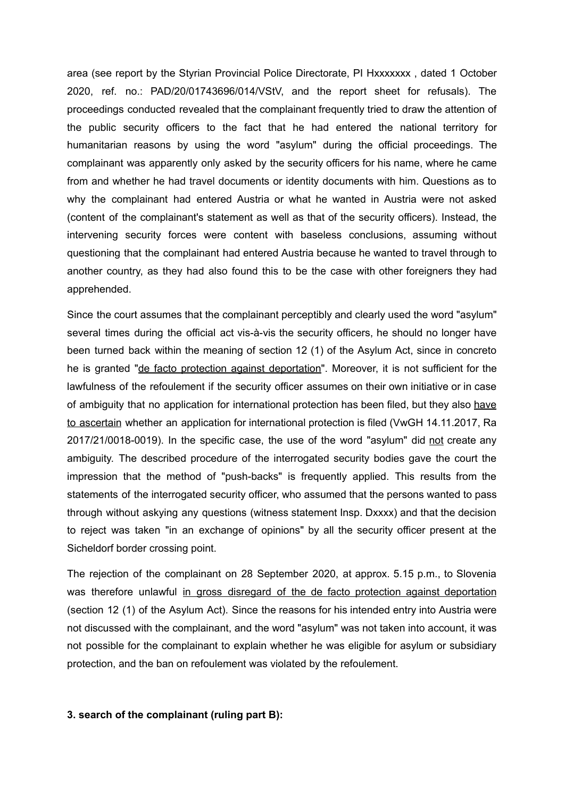area (see report by the Styrian Provincial Police Directorate, PI Hxxxxxxx , dated 1 October 2020, ref. no.: PAD/20/01743696/014/VStV, and the report sheet for refusals). The proceedings conducted revealed that the complainant frequently tried to draw the attention of the public security officers to the fact that he had entered the national territory for humanitarian reasons by using the word "asylum" during the official proceedings. The complainant was apparently only asked by the security officers for his name, where he came from and whether he had travel documents or identity documents with him. Questions as to why the complainant had entered Austria or what he wanted in Austria were not asked (content of the complainant's statement as well as that of the security officers). Instead, the intervening security forces were content with baseless conclusions, assuming without questioning that the complainant had entered Austria because he wanted to travel through to another country, as they had also found this to be the case with other foreigners they had apprehended.

Since the court assumes that the complainant perceptibly and clearly used the word "asylum" several times during the official act vis-à-vis the security officers, he should no longer have been turned back within the meaning of section 12 (1) of the Asylum Act, since in concreto he is granted "de facto protection against deportation". Moreover, it is not sufficient for the lawfulness of the refoulement if the security officer assumes on their own initiative or in case of ambiguity that no application for international protection has been filed, but they also have to ascertain whether an application for international protection is filed (VwGH 14.11.2017, Ra 2017/21/0018-0019). In the specific case, the use of the word "asylum" did not create any ambiguity. The described procedure of the interrogated security bodies gave the court the impression that the method of "push-backs" is frequently applied. This results from the statements of the interrogated security officer, who assumed that the persons wanted to pass through without askying any questions (witness statement Insp. Dxxxx) and that the decision to reject was taken "in an exchange of opinions" by all the security officer present at the Sicheldorf border crossing point.

The rejection of the complainant on 28 September 2020, at approx. 5.15 p.m., to Slovenia was therefore unlawful in gross disregard of the de facto protection against deportation (section 12 (1) of the Asylum Act). Since the reasons for his intended entry into Austria were not discussed with the complainant, and the word "asylum" was not taken into account, it was not possible for the complainant to explain whether he was eligible for asylum or subsidiary protection, and the ban on refoulement was violated by the refoulement.

#### **3. search of the complainant (ruling part B):**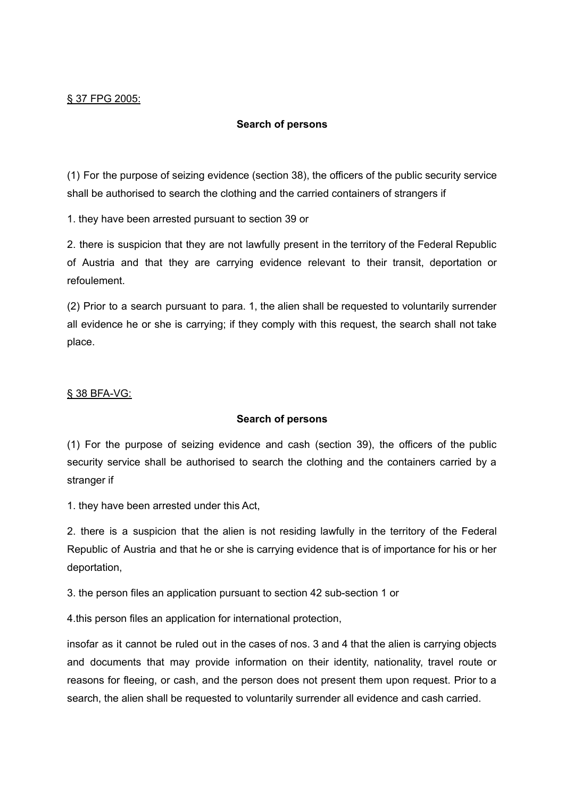# **Search of persons**

(1) For the purpose of seizing evidence (section 38), the officers of the public security service shall be authorised to search the clothing and the carried containers of strangers if

1. they have been arrested pursuant to section 39 or

2. there is suspicion that they are not lawfully present in the territory of the Federal Republic of Austria and that they are carrying evidence relevant to their transit, deportation or refoulement.

(2) Prior to a search pursuant to para. 1, the alien shall be requested to voluntarily surrender all evidence he or she is carrying; if they comply with this request, the search shall not take place.

#### § 38 BFA-VG:

### **Search of persons**

(1) For the purpose of seizing evidence and cash (section 39), the officers of the public security service shall be authorised to search the clothing and the containers carried by a stranger if

1. they have been arrested under this Act,

2. there is a suspicion that the alien is not residing lawfully in the territory of the Federal Republic of Austria and that he or she is carrying evidence that is of importance for his or her deportation,

3. the person files an application pursuant to section 42 sub-section 1 or

4.this person files an application for international protection,

insofar as it cannot be ruled out in the cases of nos. 3 and 4 that the alien is carrying objects and documents that may provide information on their identity, nationality, travel route or reasons for fleeing, or cash, and the person does not present them upon request. Prior to a search, the alien shall be requested to voluntarily surrender all evidence and cash carried.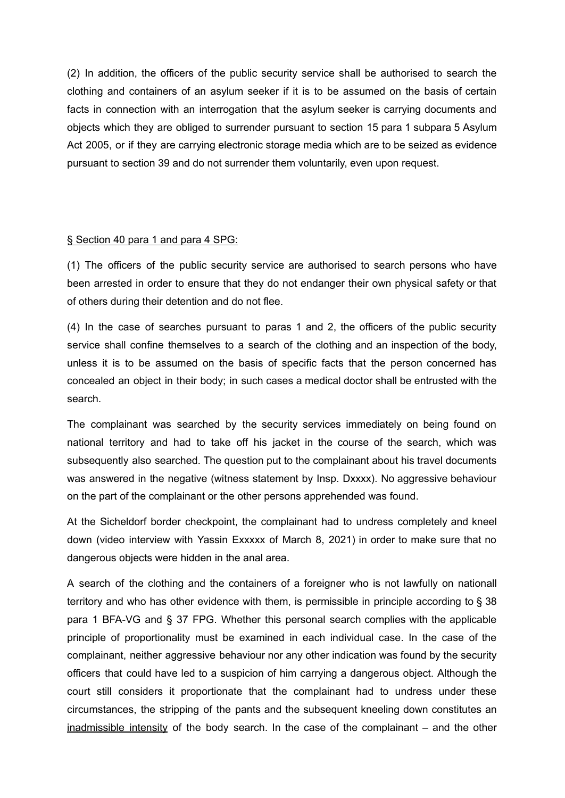(2) In addition, the officers of the public security service shall be authorised to search the clothing and containers of an asylum seeker if it is to be assumed on the basis of certain facts in connection with an interrogation that the asylum seeker is carrying documents and objects which they are obliged to surrender pursuant to section 15 para 1 subpara 5 Asylum Act 2005, or if they are carrying electronic storage media which are to be seized as evidence pursuant to section 39 and do not surrender them voluntarily, even upon request.

#### § Section 40 para 1 and para 4 SPG:

(1) The officers of the public security service are authorised to search persons who have been arrested in order to ensure that they do not endanger their own physical safety or that of others during their detention and do not flee.

(4) In the case of searches pursuant to paras 1 and 2, the officers of the public security service shall confine themselves to a search of the clothing and an inspection of the body, unless it is to be assumed on the basis of specific facts that the person concerned has concealed an object in their body; in such cases a medical doctor shall be entrusted with the search.

The complainant was searched by the security services immediately on being found on national territory and had to take off his jacket in the course of the search, which was subsequently also searched. The question put to the complainant about his travel documents was answered in the negative (witness statement by Insp. Dxxxx). No aggressive behaviour on the part of the complainant or the other persons apprehended was found.

At the Sicheldorf border checkpoint, the complainant had to undress completely and kneel down (video interview with Yassin Exxxxx of March 8, 2021) in order to make sure that no dangerous objects were hidden in the anal area.

A search of the clothing and the containers of a foreigner who is not lawfully on nationall territory and who has other evidence with them, is permissible in principle according to § 38 para 1 BFA-VG and § 37 FPG. Whether this personal search complies with the applicable principle of proportionality must be examined in each individual case. In the case of the complainant, neither aggressive behaviour nor any other indication was found by the security officers that could have led to a suspicion of him carrying a dangerous object. Although the court still considers it proportionate that the complainant had to undress under these circumstances, the stripping of the pants and the subsequent kneeling down constitutes an inadmissible intensity of the body search. In the case of the complainant – and the other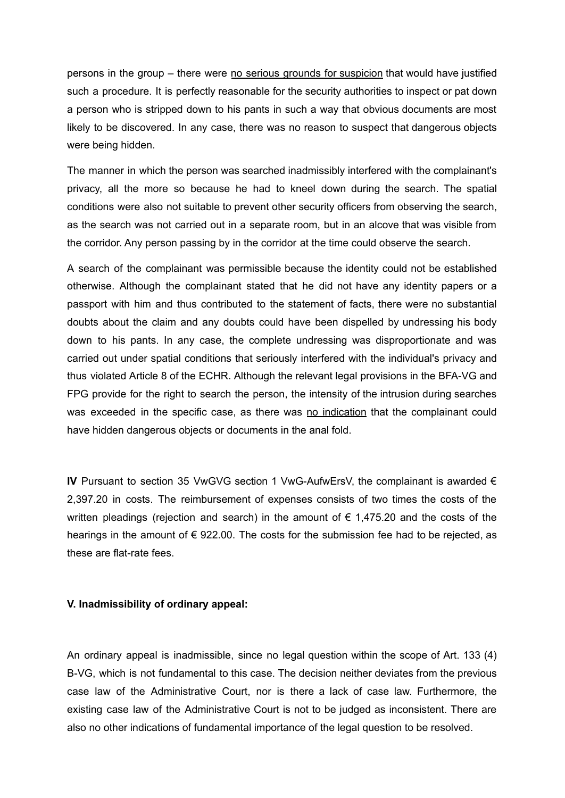persons in the group – there were no serious grounds for suspicion that would have justified such a procedure. It is perfectly reasonable for the security authorities to inspect or pat down a person who is stripped down to his pants in such a way that obvious documents are most likely to be discovered. In any case, there was no reason to suspect that dangerous objects were being hidden.

The manner in which the person was searched inadmissibly interfered with the complainant's privacy, all the more so because he had to kneel down during the search. The spatial conditions were also not suitable to prevent other security officers from observing the search, as the search was not carried out in a separate room, but in an alcove that was visible from the corridor. Any person passing by in the corridor at the time could observe the search.

A search of the complainant was permissible because the identity could not be established otherwise. Although the complainant stated that he did not have any identity papers or a passport with him and thus contributed to the statement of facts, there were no substantial doubts about the claim and any doubts could have been dispelled by undressing his body down to his pants. In any case, the complete undressing was disproportionate and was carried out under spatial conditions that seriously interfered with the individual's privacy and thus violated Article 8 of the ECHR. Although the relevant legal provisions in the BFA-VG and FPG provide for the right to search the person, the intensity of the intrusion during searches was exceeded in the specific case, as there was no indication that the complainant could have hidden dangerous objects or documents in the anal fold.

**IV** Pursuant to section 35 VwGVG section 1 VwG-AufwErsV, the complainant is awarded € 2,397.20 in costs. The reimbursement of expenses consists of two times the costs of the written pleadings (rejection and search) in the amount of  $\epsilon$  1,475.20 and the costs of the hearings in the amount of  $\epsilon$  922.00. The costs for the submission fee had to be rejected, as these are flat-rate fees.

#### **V. Inadmissibility of ordinary appeal:**

An ordinary appeal is inadmissible, since no legal question within the scope of Art. 133 (4) B-VG, which is not fundamental to this case. The decision neither deviates from the previous case law of the Administrative Court, nor is there a lack of case law. Furthermore, the existing case law of the Administrative Court is not to be judged as inconsistent. There are also no other indications of fundamental importance of the legal question to be resolved.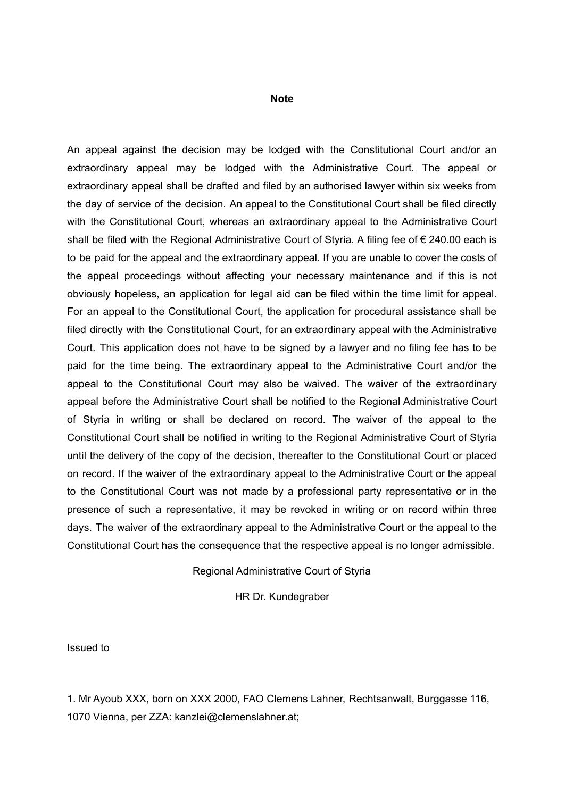#### **Note**

An appeal against the decision may be lodged with the Constitutional Court and/or an extraordinary appeal may be lodged with the Administrative Court. The appeal or extraordinary appeal shall be drafted and filed by an authorised lawyer within six weeks from the day of service of the decision. An appeal to the Constitutional Court shall be filed directly with the Constitutional Court, whereas an extraordinary appeal to the Administrative Court shall be filed with the Regional Administrative Court of Styria. A filing fee of € 240.00 each is to be paid for the appeal and the extraordinary appeal. If you are unable to cover the costs of the appeal proceedings without affecting your necessary maintenance and if this is not obviously hopeless, an application for legal aid can be filed within the time limit for appeal. For an appeal to the Constitutional Court, the application for procedural assistance shall be filed directly with the Constitutional Court, for an extraordinary appeal with the Administrative Court. This application does not have to be signed by a lawyer and no filing fee has to be paid for the time being. The extraordinary appeal to the Administrative Court and/or the appeal to the Constitutional Court may also be waived. The waiver of the extraordinary appeal before the Administrative Court shall be notified to the Regional Administrative Court of Styria in writing or shall be declared on record. The waiver of the appeal to the Constitutional Court shall be notified in writing to the Regional Administrative Court of Styria until the delivery of the copy of the decision, thereafter to the Constitutional Court or placed on record. If the waiver of the extraordinary appeal to the Administrative Court or the appeal to the Constitutional Court was not made by a professional party representative or in the presence of such a representative, it may be revoked in writing or on record within three days. The waiver of the extraordinary appeal to the Administrative Court or the appeal to the Constitutional Court has the consequence that the respective appeal is no longer admissible.

#### Regional Administrative Court of Styria

HR Dr. Kundegraber

Issued to

1. Mr Ayoub XXX, born on XXX 2000, FAO Clemens Lahner, Rechtsanwalt, Burggasse 116, 1070 Vienna, per ZZA: kanzlei@clemenslahner.at;